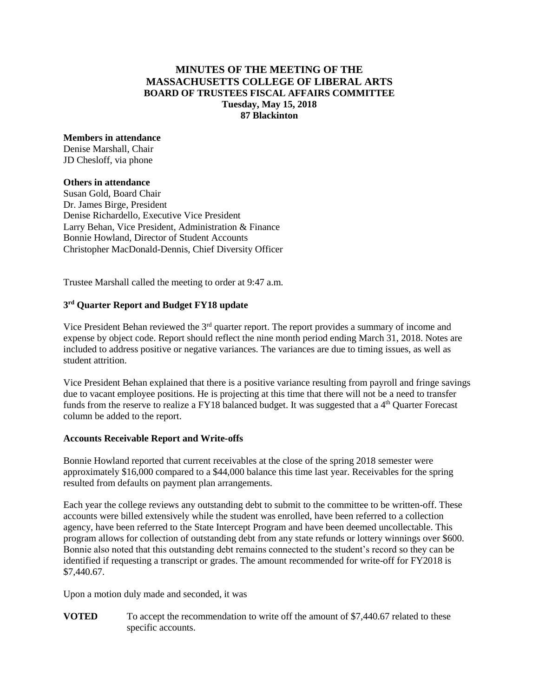# **MINUTES OF THE MEETING OF THE MASSACHUSETTS COLLEGE OF LIBERAL ARTS BOARD OF TRUSTEES FISCAL AFFAIRS COMMITTEE Tuesday, May 15, 2018 87 Blackinton**

## **Members in attendance**

Denise Marshall, Chair JD Chesloff, via phone

#### **Others in attendance**

Susan Gold, Board Chair Dr. James Birge, President Denise Richardello, Executive Vice President Larry Behan, Vice President, Administration & Finance Bonnie Howland, Director of Student Accounts Christopher MacDonald-Dennis, Chief Diversity Officer

Trustee Marshall called the meeting to order at 9:47 a.m.

## **3 rd Quarter Report and Budget FY18 update**

Vice President Behan reviewed the 3rd quarter report. The report provides a summary of income and expense by object code. Report should reflect the nine month period ending March 31, 2018. Notes are included to address positive or negative variances. The variances are due to timing issues, as well as student attrition.

Vice President Behan explained that there is a positive variance resulting from payroll and fringe savings due to vacant employee positions. He is projecting at this time that there will not be a need to transfer funds from the reserve to realize a FY18 balanced budget. It was suggested that a 4<sup>th</sup> Quarter Forecast column be added to the report.

## **Accounts Receivable Report and Write-offs**

Bonnie Howland reported that current receivables at the close of the spring 2018 semester were approximately \$16,000 compared to a \$44,000 balance this time last year. Receivables for the spring resulted from defaults on payment plan arrangements.

Each year the college reviews any outstanding debt to submit to the committee to be written-off. These accounts were billed extensively while the student was enrolled, have been referred to a collection agency, have been referred to the State Intercept Program and have been deemed uncollectable. This program allows for collection of outstanding debt from any state refunds or lottery winnings over \$600. Bonnie also noted that this outstanding debt remains connected to the student's record so they can be identified if requesting a transcript or grades. The amount recommended for write-off for FY2018 is \$7,440.67.

Upon a motion duly made and seconded, it was

**VOTED** To accept the recommendation to write off the amount of \$7,440.67 related to these specific accounts.